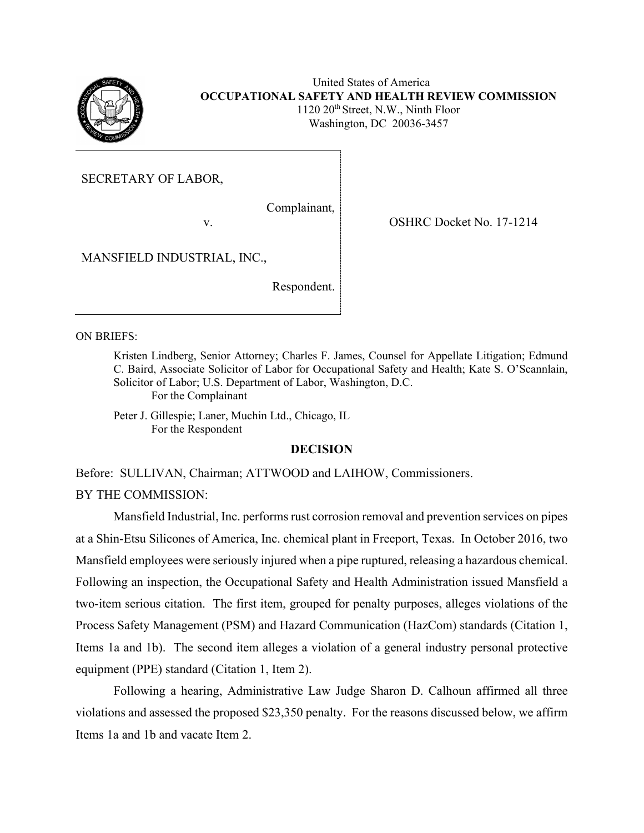

United States of America **OCCUPATIONAL SAFETY AND HEALTH REVIEW COMMISSION**  $1120 \ 20$ <sup>th</sup> Street, N.W., Ninth Floor Washington, DC 20036-3457

SECRETARY OF LABOR,

Complainant,

v.

OSHRC Docket No. 17-1214

MANSFIELD INDUSTRIAL, INC.,

Respondent.

ON BRIEFS:

Kristen Lindberg, Senior Attorney; Charles F. James, Counsel for Appellate Litigation; Edmund C. Baird, Associate Solicitor of Labor for Occupational Safety and Health; Kate S. O'Scannlain, Solicitor of Labor; U.S. Department of Labor, Washington, D.C. For the Complainant

Peter J. Gillespie; Laner, Muchin Ltd., Chicago, IL For the Respondent

### **DECISION**

Before: SULLIVAN, Chairman; ATTWOOD and LAIHOW, Commissioners. BY THE COMMISSION:

Mansfield Industrial, Inc. performs rust corrosion removal and prevention services on pipes at a Shin-Etsu Silicones of America, Inc. chemical plant in Freeport, Texas. In October 2016, two Mansfield employees were seriously injured when a pipe ruptured, releasing a hazardous chemical. Following an inspection, the Occupational Safety and Health Administration issued Mansfield a two-item serious citation. The first item, grouped for penalty purposes, alleges violations of the Process Safety Management (PSM) and Hazard Communication (HazCom) standards (Citation 1, Items 1a and 1b). The second item alleges a violation of a general industry personal protective equipment (PPE) standard (Citation 1, Item 2).

Following a hearing, Administrative Law Judge Sharon D. Calhoun affirmed all three violations and assessed the proposed \$23,350 penalty. For the reasons discussed below, we affirm Items 1a and 1b and vacate Item 2.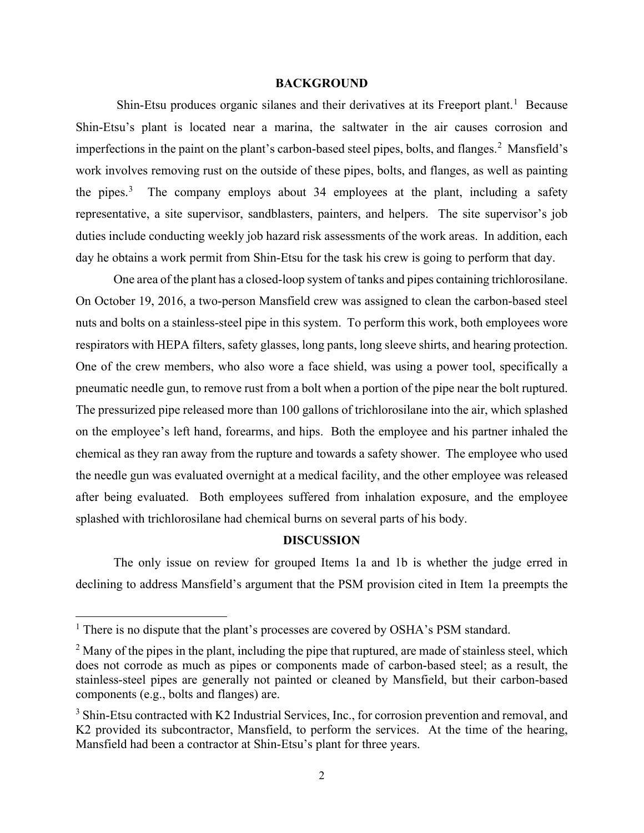#### **BACKGROUND**

Shin-Etsu produces organic silanes and their derivatives at its Freeport plant.<sup>[1](#page-1-0)</sup> Because Shin-Etsu's plant is located near a marina, the saltwater in the air causes corrosion and imperfections in the paint on the plant's carbon-based steel pipes, bolts, and flanges.<sup>[2](#page-1-1)</sup> Mansfield's work involves removing rust on the outside of these pipes, bolts, and flanges, as well as painting the pipes.<sup>[3](#page-1-2)</sup> The company employs about 34 employees at the plant, including a safety representative, a site supervisor, sandblasters, painters, and helpers. The site supervisor's job duties include conducting weekly job hazard risk assessments of the work areas. In addition, each day he obtains a work permit from Shin-Etsu for the task his crew is going to perform that day.

One area of the plant has a closed-loop system of tanks and pipes containing trichlorosilane. On October 19, 2016, a two-person Mansfield crew was assigned to clean the carbon-based steel nuts and bolts on a stainless-steel pipe in this system. To perform this work, both employees wore respirators with HEPA filters, safety glasses, long pants, long sleeve shirts, and hearing protection. One of the crew members, who also wore a face shield, was using a power tool, specifically a pneumatic needle gun, to remove rust from a bolt when a portion of the pipe near the bolt ruptured. The pressurized pipe released more than 100 gallons of trichlorosilane into the air, which splashed on the employee's left hand, forearms, and hips. Both the employee and his partner inhaled the chemical as they ran away from the rupture and towards a safety shower. The employee who used the needle gun was evaluated overnight at a medical facility, and the other employee was released after being evaluated. Both employees suffered from inhalation exposure, and the employee splashed with trichlorosilane had chemical burns on several parts of his body.

# **DISCUSSION**

The only issue on review for grouped Items 1a and 1b is whether the judge erred in declining to address Mansfield's argument that the PSM provision cited in Item 1a preempts the

<span id="page-1-0"></span><sup>&</sup>lt;sup>1</sup> There is no dispute that the plant's processes are covered by OSHA's PSM standard.

<span id="page-1-1"></span> $<sup>2</sup>$  Many of the pipes in the plant, including the pipe that ruptured, are made of stainless steel, which</sup> does not corrode as much as pipes or components made of carbon-based steel; as a result, the stainless-steel pipes are generally not painted or cleaned by Mansfield, but their carbon-based components (e.g., bolts and flanges) are.

<span id="page-1-2"></span><sup>&</sup>lt;sup>3</sup> Shin-Etsu contracted with K2 Industrial Services, Inc., for corrosion prevention and removal, and K2 provided its subcontractor, Mansfield, to perform the services. At the time of the hearing, Mansfield had been a contractor at Shin-Etsu's plant for three years.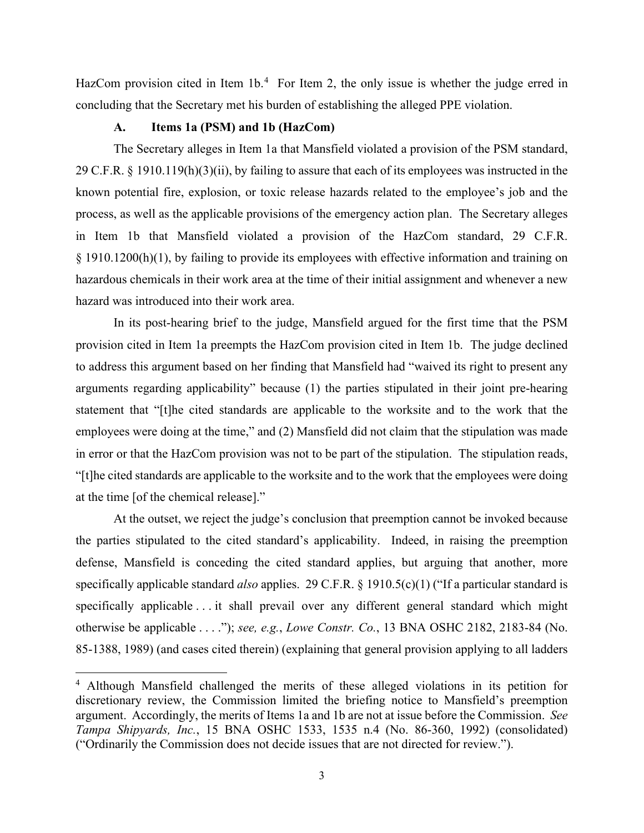HazCom provision cited in Item  $1b<sup>4</sup>$  $1b<sup>4</sup>$  $1b<sup>4</sup>$  For Item 2, the only issue is whether the judge erred in concluding that the Secretary met his burden of establishing the alleged PPE violation.

# **A. Items 1a (PSM) and 1b (HazCom)**

The Secretary alleges in Item 1a that Mansfield violated a provision of the PSM standard, 29 C.F.R. § 1910.119(h)(3)(ii), by failing to assure that each of its employees was instructed in the known potential fire, explosion, or toxic release hazards related to the employee's job and the process, as well as the applicable provisions of the emergency action plan. The Secretary alleges in Item 1b that Mansfield violated a provision of the HazCom standard, 29 C.F.R. § 1910.1200(h)(1), by failing to provide its employees with effective information and training on hazardous chemicals in their work area at the time of their initial assignment and whenever a new hazard was introduced into their work area.

In its post-hearing brief to the judge, Mansfield argued for the first time that the PSM provision cited in Item 1a preempts the HazCom provision cited in Item 1b. The judge declined to address this argument based on her finding that Mansfield had "waived its right to present any arguments regarding applicability" because (1) the parties stipulated in their joint pre-hearing statement that "[t]he cited standards are applicable to the worksite and to the work that the employees were doing at the time," and (2) Mansfield did not claim that the stipulation was made in error or that the HazCom provision was not to be part of the stipulation. The stipulation reads, "[t]he cited standards are applicable to the worksite and to the work that the employees were doing at the time [of the chemical release]."

At the outset, we reject the judge's conclusion that preemption cannot be invoked because the parties stipulated to the cited standard's applicability. Indeed, in raising the preemption defense, Mansfield is conceding the cited standard applies, but arguing that another, more specifically applicable standard *also* applies. 29 C.F.R. § 1910.5(c)(1) ("If a particular standard is specifically applicable . . . it shall prevail over any different general standard which might otherwise be applicable . . . ."); *see, e.g.*, *Lowe Constr. Co.*, 13 BNA OSHC 2182, 2183-84 (No. 85-1388, 1989) (and cases cited therein) (explaining that general provision applying to all ladders

<span id="page-2-0"></span><sup>4</sup> Although Mansfield challenged the merits of these alleged violations in its petition for discretionary review, the Commission limited the briefing notice to Mansfield's preemption argument. Accordingly, the merits of Items 1a and 1b are not at issue before the Commission. *See Tampa Shipyards, Inc.*, 15 BNA OSHC 1533, 1535 n.4 (No. 86-360, 1992) (consolidated) ("Ordinarily the Commission does not decide issues that are not directed for review.").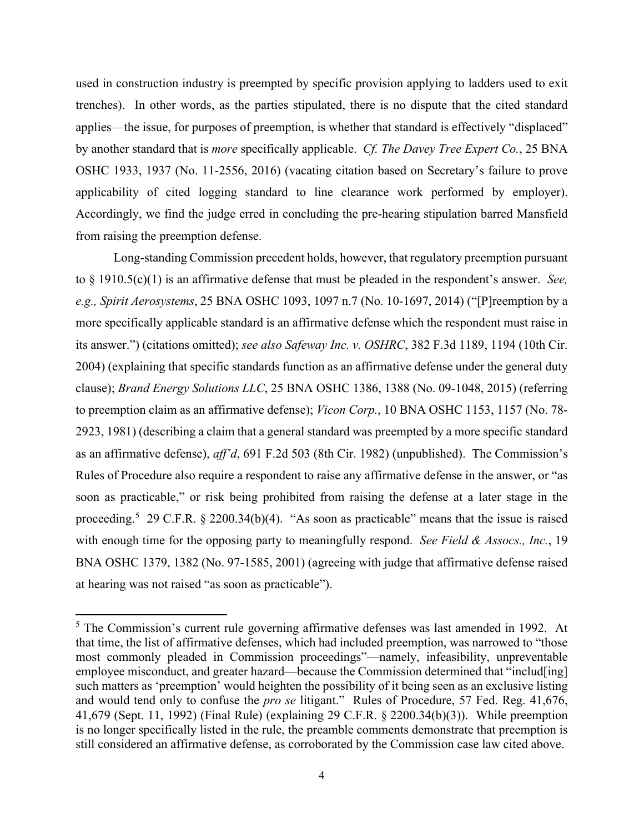used in construction industry is preempted by specific provision applying to ladders used to exit trenches). In other words, as the parties stipulated, there is no dispute that the cited standard applies—the issue, for purposes of preemption, is whether that standard is effectively "displaced" by another standard that is *more* specifically applicable. *Cf. The Davey Tree Expert Co.*, 25 BNA OSHC 1933, 1937 (No. 11-2556, 2016) (vacating citation based on Secretary's failure to prove applicability of cited logging standard to line clearance work performed by employer). Accordingly, we find the judge erred in concluding the pre-hearing stipulation barred Mansfield from raising the preemption defense.

Long-standing Commission precedent holds, however, that regulatory preemption pursuant to § 1910.5(c)(1) is an affirmative defense that must be pleaded in the respondent's answer. *See, e.g., Spirit Aerosystems*, 25 BNA OSHC 1093, 1097 n.7 (No. 10-1697, 2014) ("[P]reemption by a more specifically applicable standard is an affirmative defense which the respondent must raise in its answer.") (citations omitted); *see also Safeway Inc. v. OSHRC*, 382 F.3d 1189, 1194 (10th Cir. 2004) (explaining that specific standards function as an affirmative defense under the general duty clause); *Brand Energy Solutions LLC*, 25 BNA OSHC 1386, 1388 (No. 09-1048, 2015) (referring to preemption claim as an affirmative defense); *Vicon Corp.*, 10 BNA OSHC 1153, 1157 (No. 78- 2923, 1981) (describing a claim that a general standard was preempted by a more specific standard as an affirmative defense), *aff'd*, 691 F.2d 503 (8th Cir. 1982) (unpublished). The Commission's Rules of Procedure also require a respondent to raise any affirmative defense in the answer, or "as soon as practicable," or risk being prohibited from raising the defense at a later stage in the proceeding.<sup>[5](#page-3-0)</sup> 29 C.F.R. § 2200.34(b)(4). "As soon as practicable" means that the issue is raised with enough time for the opposing party to meaningfully respond. *See Field & Assocs., Inc.*, 19 BNA OSHC 1379, 1382 (No. 97-1585, 2001) (agreeing with judge that affirmative defense raised at hearing was not raised "as soon as practicable").

<span id="page-3-0"></span><sup>&</sup>lt;sup>5</sup> The Commission's current rule governing affirmative defenses was last amended in 1992. At that time, the list of affirmative defenses, which had included preemption, was narrowed to "those most commonly pleaded in Commission proceedings"—namely, infeasibility, unpreventable employee misconduct, and greater hazard—because the Commission determined that "includ[ing] such matters as 'preemption' would heighten the possibility of it being seen as an exclusive listing and would tend only to confuse the *pro se* litigant." Rules of Procedure, 57 Fed. Reg. 41,676, 41,679 (Sept. 11, 1992) (Final Rule) (explaining 29 C.F.R. § 2200.34(b)(3)). While preemption is no longer specifically listed in the rule, the preamble comments demonstrate that preemption is still considered an affirmative defense, as corroborated by the Commission case law cited above.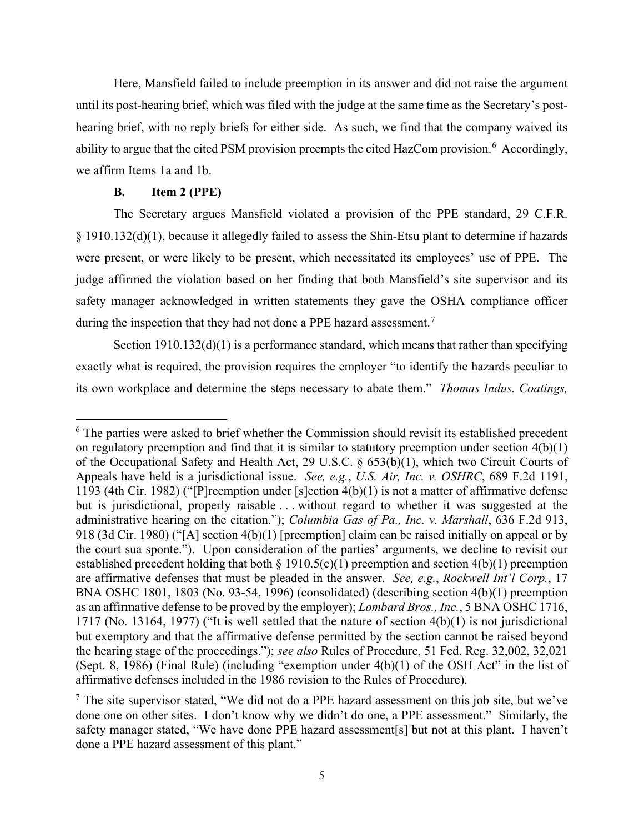Here, Mansfield failed to include preemption in its answer and did not raise the argument until its post-hearing brief, which was filed with the judge at the same time as the Secretary's posthearing brief, with no reply briefs for either side. As such, we find that the company waived its ability to argue that the cited PSM provision preempts the cited HazCom provision.<sup>[6](#page-4-0)</sup> Accordingly, we affirm Items 1a and 1b.

#### **B. Item 2 (PPE)**

The Secretary argues Mansfield violated a provision of the PPE standard, 29 C.F.R. § 1910.132(d)(1), because it allegedly failed to assess the Shin-Etsu plant to determine if hazards were present, or were likely to be present, which necessitated its employees' use of PPE. The judge affirmed the violation based on her finding that both Mansfield's site supervisor and its safety manager acknowledged in written statements they gave the OSHA compliance officer during the inspection that they had not done a PPE hazard assessment.<sup>[7](#page-4-1)</sup>

Section 1910.132(d)(1) is a performance standard, which means that rather than specifying exactly what is required, the provision requires the employer "to identify the hazards peculiar to its own workplace and determine the steps necessary to abate them." *Thomas Indus. Coatings,* 

<span id="page-4-0"></span><sup>&</sup>lt;sup>6</sup> The parties were asked to brief whether the Commission should revisit its established precedent on regulatory preemption and find that it is similar to statutory preemption under section 4(b)(1) of the Occupational Safety and Health Act, 29 U.S.C. § 653(b)(1), which two Circuit Courts of Appeals have held is a jurisdictional issue. *See, e.g.*, *U.S. Air, Inc. v. OSHRC*, 689 F.2d 1191, 1193 (4th Cir. 1982) ("[P]reemption under [s]ection 4(b)(1) is not a matter of affirmative defense but is jurisdictional, properly raisable . . . without regard to whether it was suggested at the administrative hearing on the citation."); *Columbia Gas of Pa., Inc. v. Marshall*, 636 F.2d 913, 918 (3d Cir. 1980) ("[A] section 4(b)(1) [preemption] claim can be raised initially on appeal or by the court sua sponte."). Upon consideration of the parties' arguments, we decline to revisit our established precedent holding that both  $\S$  1910.5(c)(1) preemption and section 4(b)(1) preemption are affirmative defenses that must be pleaded in the answer. *See, e.g.*, *Rockwell Int'l Corp.*, 17 BNA OSHC 1801, 1803 (No. 93-54, 1996) (consolidated) (describing section 4(b)(1) preemption as an affirmative defense to be proved by the employer); *Lombard Bros., Inc.*, 5 BNA OSHC 1716, 1717 (No. 13164, 1977) ("It is well settled that the nature of section 4(b)(1) is not jurisdictional but exemptory and that the affirmative defense permitted by the section cannot be raised beyond the hearing stage of the proceedings."); *see also* Rules of Procedure, 51 Fed. Reg. 32,002, 32,021 (Sept. 8, 1986) (Final Rule) (including "exemption under 4(b)(1) of the OSH Act" in the list of affirmative defenses included in the 1986 revision to the Rules of Procedure).

<span id="page-4-1"></span><sup>&</sup>lt;sup>7</sup> The site supervisor stated, "We did not do a PPE hazard assessment on this job site, but we've done one on other sites. I don't know why we didn't do one, a PPE assessment." Similarly, the safety manager stated, "We have done PPE hazard assessment[s] but not at this plant. I haven't done a PPE hazard assessment of this plant."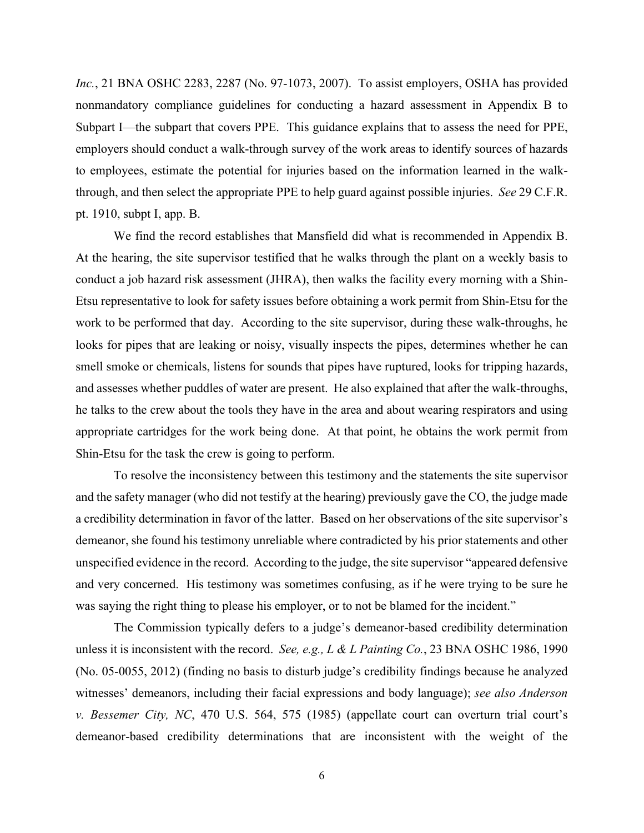*Inc.*, 21 BNA OSHC 2283, 2287 (No. 97-1073, 2007). To assist employers, OSHA has provided nonmandatory compliance guidelines for conducting a hazard assessment in Appendix B to Subpart I—the subpart that covers PPE. This guidance explains that to assess the need for PPE, employers should conduct a walk-through survey of the work areas to identify sources of hazards to employees, estimate the potential for injuries based on the information learned in the walkthrough, and then select the appropriate PPE to help guard against possible injuries. *See* 29 C.F.R. pt. 1910, subpt I, app. B.

We find the record establishes that Mansfield did what is recommended in Appendix B. At the hearing, the site supervisor testified that he walks through the plant on a weekly basis to conduct a job hazard risk assessment (JHRA), then walks the facility every morning with a Shin-Etsu representative to look for safety issues before obtaining a work permit from Shin-Etsu for the work to be performed that day. According to the site supervisor, during these walk-throughs, he looks for pipes that are leaking or noisy, visually inspects the pipes, determines whether he can smell smoke or chemicals, listens for sounds that pipes have ruptured, looks for tripping hazards, and assesses whether puddles of water are present. He also explained that after the walk-throughs, he talks to the crew about the tools they have in the area and about wearing respirators and using appropriate cartridges for the work being done. At that point, he obtains the work permit from Shin-Etsu for the task the crew is going to perform.

To resolve the inconsistency between this testimony and the statements the site supervisor and the safety manager (who did not testify at the hearing) previously gave the CO, the judge made a credibility determination in favor of the latter. Based on her observations of the site supervisor's demeanor, she found his testimony unreliable where contradicted by his prior statements and other unspecified evidence in the record. According to the judge, the site supervisor "appeared defensive and very concerned. His testimony was sometimes confusing, as if he were trying to be sure he was saying the right thing to please his employer, or to not be blamed for the incident."

The Commission typically defers to a judge's demeanor-based credibility determination unless it is inconsistent with the record. *See, e.g., L & L Painting Co.*, 23 BNA OSHC 1986, 1990 (No. 05-0055, 2012) (finding no basis to disturb judge's credibility findings because he analyzed witnesses' demeanors, including their facial expressions and body language); *see also Anderson v. Bessemer City, NC*, 470 U.S. 564, 575 (1985) (appellate court can overturn trial court's demeanor-based credibility determinations that are inconsistent with the weight of the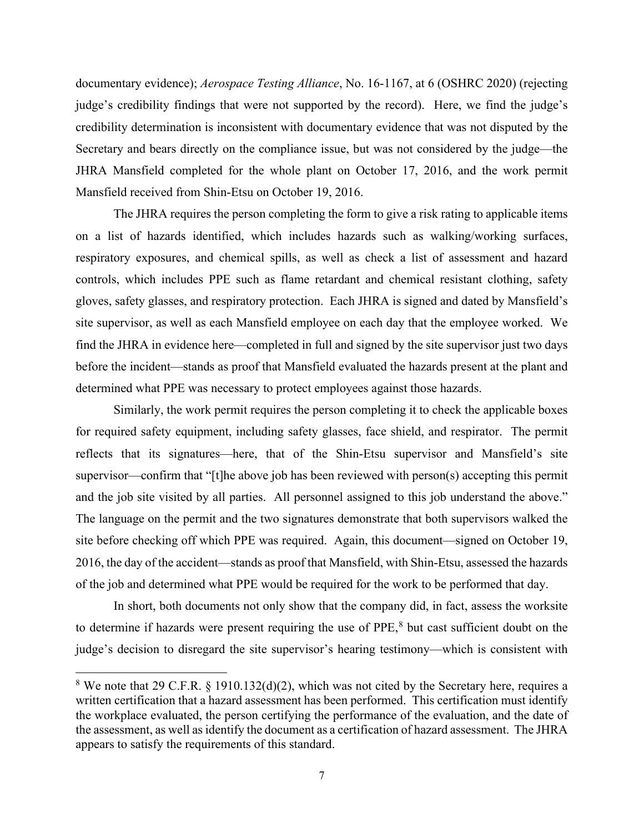documentary evidence); *Aerospace Testing Alliance*, No. 16-1167, at 6 (OSHRC 2020) (rejecting judge's credibility findings that were not supported by the record). Here, we find the judge's credibility determination is inconsistent with documentary evidence that was not disputed by the Secretary and bears directly on the compliance issue, but was not considered by the judge—the JHRA Mansfield completed for the whole plant on October 17, 2016, and the work permit Mansfield received from Shin-Etsu on October 19, 2016.

The JHRA requires the person completing the form to give a risk rating to applicable items on a list of hazards identified, which includes hazards such as walking/working surfaces, respiratory exposures, and chemical spills, as well as check a list of assessment and hazard controls, which includes PPE such as flame retardant and chemical resistant clothing, safety gloves, safety glasses, and respiratory protection. Each JHRA is signed and dated by Mansfield's site supervisor, as well as each Mansfield employee on each day that the employee worked. We find the JHRA in evidence here—completed in full and signed by the site supervisor just two days before the incident—stands as proof that Mansfield evaluated the hazards present at the plant and determined what PPE was necessary to protect employees against those hazards.

Similarly, the work permit requires the person completing it to check the applicable boxes for required safety equipment, including safety glasses, face shield, and respirator. The permit reflects that its signatures—here, that of the Shin-Etsu supervisor and Mansfield's site supervisor—confirm that "[t]he above job has been reviewed with person(s) accepting this permit and the job site visited by all parties. All personnel assigned to this job understand the above." The language on the permit and the two signatures demonstrate that both supervisors walked the site before checking off which PPE was required. Again, this document—signed on October 19, 2016, the day of the accident—stands as proof that Mansfield, with Shin-Etsu, assessed the hazards of the job and determined what PPE would be required for the work to be performed that day.

In short, both documents not only show that the company did, in fact, assess the worksite to determine if hazards were present requiring the use of PPE,<sup>[8](#page-6-0)</sup> but cast sufficient doubt on the judge's decision to disregard the site supervisor's hearing testimony—which is consistent with

<span id="page-6-0"></span> $8$  We note that 29 C.F.R.  $\S$  1910.132(d)(2), which was not cited by the Secretary here, requires a written certification that a hazard assessment has been performed. This certification must identify the workplace evaluated, the person certifying the performance of the evaluation, and the date of the assessment, as well as identify the document as a certification of hazard assessment. The JHRA appears to satisfy the requirements of this standard.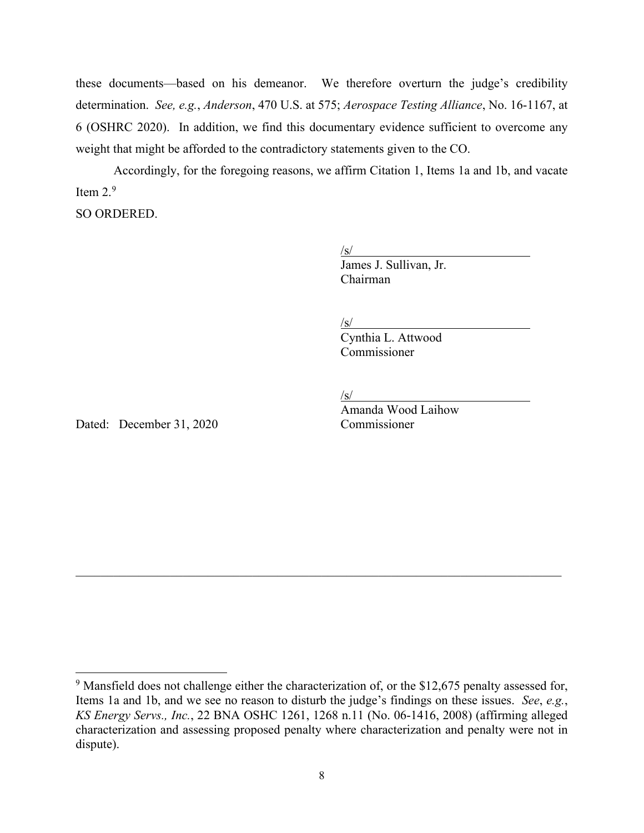these documents—based on his demeanor. We therefore overturn the judge's credibility determination. *See, e.g.*, *Anderson*, 470 U.S. at 575; *Aerospace Testing Alliance*, No. 16-1167, at 6 (OSHRC 2020). In addition, we find this documentary evidence sufficient to overcome any weight that might be afforded to the contradictory statements given to the CO.

Accordingly, for the foregoing reasons, we affirm Citation 1, Items 1a and 1b, and vacate Item  $2.9$  $2.9$ 

SO ORDERED.

 $\sqrt{s/2}$ James J. Sullivan. Jr. Chairman

 $\sqrt{s/2}$ 

Cynthia L. Attwood Commissioner

 $\sqrt{s/2}$ 

Dated: December 31, 2020 Commissioner

Amanda Wood Laihow

 $\mathcal{L}_\mathcal{L} = \mathcal{L}_\mathcal{L} = \mathcal{L}_\mathcal{L} = \mathcal{L}_\mathcal{L} = \mathcal{L}_\mathcal{L} = \mathcal{L}_\mathcal{L} = \mathcal{L}_\mathcal{L} = \mathcal{L}_\mathcal{L} = \mathcal{L}_\mathcal{L} = \mathcal{L}_\mathcal{L} = \mathcal{L}_\mathcal{L} = \mathcal{L}_\mathcal{L} = \mathcal{L}_\mathcal{L} = \mathcal{L}_\mathcal{L} = \mathcal{L}_\mathcal{L} = \mathcal{L}_\mathcal{L} = \mathcal{L}_\mathcal{L}$ 

<span id="page-7-0"></span><sup>&</sup>lt;sup>9</sup> Mansfield does not challenge either the characterization of, or the \$12,675 penalty assessed for, Items 1a and 1b, and we see no reason to disturb the judge's findings on these issues. *See*, *e.g.*, *KS Energy Servs., Inc.*, 22 BNA OSHC 1261, 1268 n.11 (No. 06-1416, 2008) (affirming alleged characterization and assessing proposed penalty where characterization and penalty were not in dispute).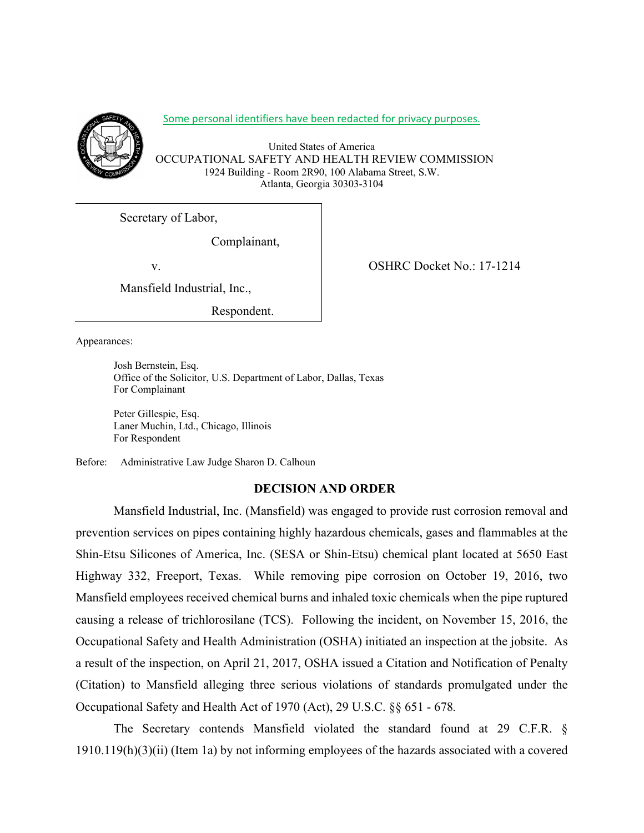

Some personal identifiers have been redacted for privacy purposes.

United States of America OCCUPATIONAL SAFETY AND HEALTH REVIEW COMMISSION 1924 Building - Room 2R90, 100 Alabama Street, S.W. Atlanta, Georgia 30303-3104

Secretary of Labor,

Complainant,

Mansfield Industrial, Inc.,

Respondent.

Appearances:

Josh Bernstein, Esq. Office of the Solicitor, U.S. Department of Labor, Dallas, Texas For Complainant

Peter Gillespie, Esq. Laner Muchin, Ltd., Chicago, Illinois For Respondent

Before: Administrative Law Judge Sharon D. Calhoun

# **DECISION AND ORDER**

Mansfield Industrial, Inc. (Mansfield) was engaged to provide rust corrosion removal and prevention services on pipes containing highly hazardous chemicals, gases and flammables at the Shin-Etsu Silicones of America, Inc. (SESA or Shin-Etsu) chemical plant located at 5650 East Highway 332, Freeport, Texas. While removing pipe corrosion on October 19, 2016, two Mansfield employees received chemical burns and inhaled toxic chemicals when the pipe ruptured causing a release of trichlorosilane (TCS). Following the incident, on November 15, 2016, the Occupational Safety and Health Administration (OSHA) initiated an inspection at the jobsite. As a result of the inspection, on April 21, 2017, OSHA issued a Citation and Notification of Penalty (Citation) to Mansfield alleging three serious violations of standards promulgated under the Occupational Safety and Health Act of 1970 (Act), 29 U.S.C. §§ 651 - 678*.*

The Secretary contends Mansfield violated the standard found at 29 C.F.R. § 1910.119(h)(3)(ii) (Item 1a) by not informing employees of the hazards associated with a covered

v. CSHRC Docket No.: 17-1214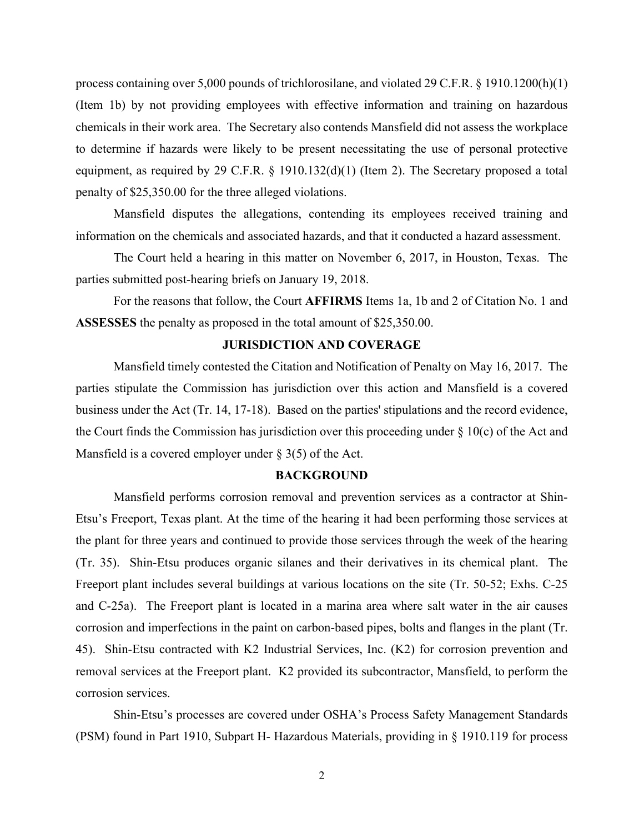process containing over 5,000 pounds of trichlorosilane, and violated 29 C.F.R. § 1910.1200(h)(1) (Item 1b) by not providing employees with effective information and training on hazardous chemicals in their work area. The Secretary also contends Mansfield did not assess the workplace to determine if hazards were likely to be present necessitating the use of personal protective equipment, as required by 29 C.F.R. § 1910.132(d)(1) (Item 2). The Secretary proposed a total penalty of \$25,350.00 for the three alleged violations.

Mansfield disputes the allegations, contending its employees received training and information on the chemicals and associated hazards, and that it conducted a hazard assessment.

The Court held a hearing in this matter on November 6, 2017, in Houston, Texas. The parties submitted post-hearing briefs on January 19, 2018.

For the reasons that follow, the Court **AFFIRMS** Items 1a, 1b and 2 of Citation No. 1 and **ASSESSES** the penalty as proposed in the total amount of \$25,350.00.

#### **JURISDICTION AND COVERAGE**

Mansfield timely contested the Citation and Notification of Penalty on May 16, 2017. The parties stipulate the Commission has jurisdiction over this action and Mansfield is a covered business under the Act (Tr. 14, 17-18). Based on the parties' stipulations and the record evidence, the Court finds the Commission has jurisdiction over this proceeding under § 10(c) of the Act and Mansfield is a covered employer under  $\S$  3(5) of the Act.

#### **BACKGROUND**

Mansfield performs corrosion removal and prevention services as a contractor at Shin-Etsu's Freeport, Texas plant. At the time of the hearing it had been performing those services at the plant for three years and continued to provide those services through the week of the hearing (Tr. 35). Shin-Etsu produces organic silanes and their derivatives in its chemical plant. The Freeport plant includes several buildings at various locations on the site (Tr. 50-52; Exhs. C-25 and C-25a). The Freeport plant is located in a marina area where salt water in the air causes corrosion and imperfections in the paint on carbon-based pipes, bolts and flanges in the plant (Tr. 45). Shin-Etsu contracted with K2 Industrial Services, Inc. (K2) for corrosion prevention and removal services at the Freeport plant. K2 provided its subcontractor, Mansfield, to perform the corrosion services.

Shin-Etsu's processes are covered under OSHA's Process Safety Management Standards (PSM) found in Part 1910, Subpart H- Hazardous Materials, providing in § 1910.119 for process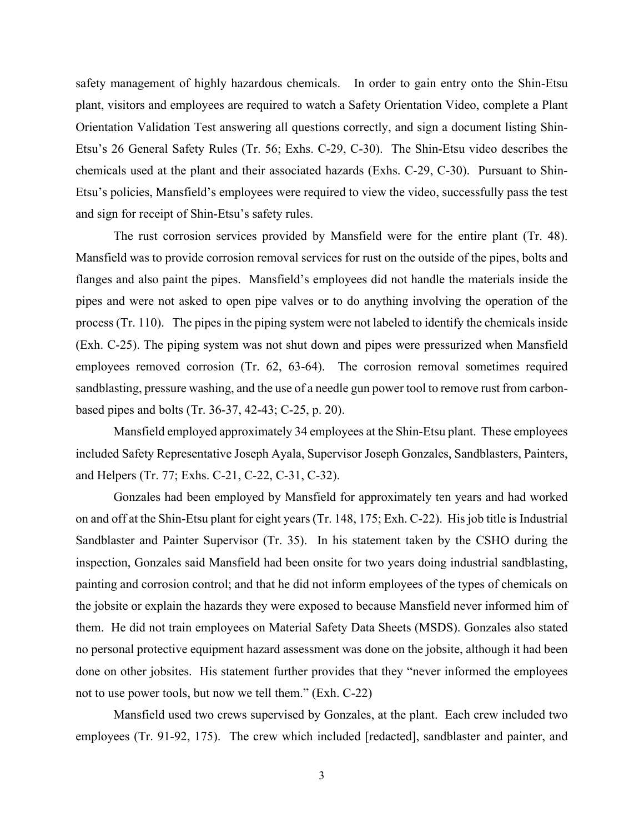safety management of highly hazardous chemicals. In order to gain entry onto the Shin-Etsu plant, visitors and employees are required to watch a Safety Orientation Video, complete a Plant Orientation Validation Test answering all questions correctly, and sign a document listing Shin-Etsu's 26 General Safety Rules (Tr. 56; Exhs. C-29, C-30). The Shin-Etsu video describes the chemicals used at the plant and their associated hazards (Exhs. C-29, C-30). Pursuant to Shin-Etsu's policies, Mansfield's employees were required to view the video, successfully pass the test and sign for receipt of Shin-Etsu's safety rules.

The rust corrosion services provided by Mansfield were for the entire plant (Tr. 48). Mansfield was to provide corrosion removal services for rust on the outside of the pipes, bolts and flanges and also paint the pipes. Mansfield's employees did not handle the materials inside the pipes and were not asked to open pipe valves or to do anything involving the operation of the process (Tr. 110). The pipes in the piping system were not labeled to identify the chemicals inside (Exh. C-25). The piping system was not shut down and pipes were pressurized when Mansfield employees removed corrosion (Tr. 62, 63-64). The corrosion removal sometimes required sandblasting, pressure washing, and the use of a needle gun power tool to remove rust from carbonbased pipes and bolts (Tr. 36-37, 42-43; C-25, p. 20).

Mansfield employed approximately 34 employees at the Shin-Etsu plant. These employees included Safety Representative Joseph Ayala, Supervisor Joseph Gonzales, Sandblasters, Painters, and Helpers (Tr. 77; Exhs. C-21, C-22, C-31, C-32).

Gonzales had been employed by Mansfield for approximately ten years and had worked on and off at the Shin-Etsu plant for eight years (Tr. 148, 175; Exh. C-22). His job title is Industrial Sandblaster and Painter Supervisor (Tr. 35). In his statement taken by the CSHO during the inspection, Gonzales said Mansfield had been onsite for two years doing industrial sandblasting, painting and corrosion control; and that he did not inform employees of the types of chemicals on the jobsite or explain the hazards they were exposed to because Mansfield never informed him of them. He did not train employees on Material Safety Data Sheets (MSDS). Gonzales also stated no personal protective equipment hazard assessment was done on the jobsite, although it had been done on other jobsites. His statement further provides that they "never informed the employees not to use power tools, but now we tell them." (Exh. C-22)

Mansfield used two crews supervised by Gonzales, at the plant. Each crew included two employees (Tr. 91-92, 175). The crew which included [redacted], sandblaster and painter, and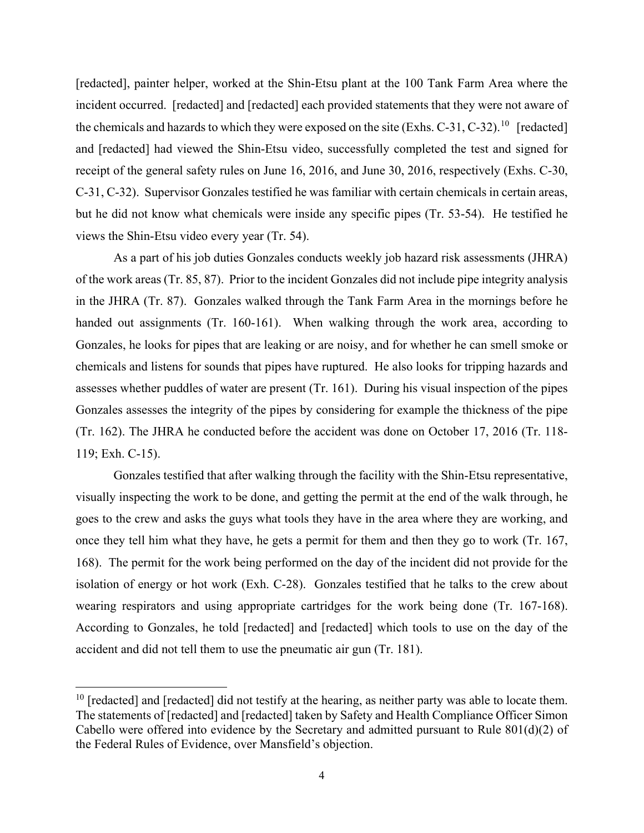[redacted], painter helper, worked at the Shin-Etsu plant at the 100 Tank Farm Area where the incident occurred. [redacted] and [redacted] each provided statements that they were not aware of the chemicals and hazards to which they were exposed on the site (Exhs. C-31, C-32).<sup>[10](#page-11-0)</sup> [redacted] and [redacted] had viewed the Shin-Etsu video, successfully completed the test and signed for receipt of the general safety rules on June 16, 2016, and June 30, 2016, respectively (Exhs. C-30, C-31, C-32). Supervisor Gonzales testified he was familiar with certain chemicals in certain areas, but he did not know what chemicals were inside any specific pipes (Tr. 53-54). He testified he views the Shin-Etsu video every year (Tr. 54).

As a part of his job duties Gonzales conducts weekly job hazard risk assessments (JHRA) of the work areas (Tr. 85, 87). Prior to the incident Gonzales did not include pipe integrity analysis in the JHRA (Tr. 87). Gonzales walked through the Tank Farm Area in the mornings before he handed out assignments (Tr. 160-161). When walking through the work area, according to Gonzales, he looks for pipes that are leaking or are noisy, and for whether he can smell smoke or chemicals and listens for sounds that pipes have ruptured. He also looks for tripping hazards and assesses whether puddles of water are present (Tr. 161). During his visual inspection of the pipes Gonzales assesses the integrity of the pipes by considering for example the thickness of the pipe (Tr. 162). The JHRA he conducted before the accident was done on October 17, 2016 (Tr. 118- 119; Exh. C-15).

Gonzales testified that after walking through the facility with the Shin-Etsu representative, visually inspecting the work to be done, and getting the permit at the end of the walk through, he goes to the crew and asks the guys what tools they have in the area where they are working, and once they tell him what they have, he gets a permit for them and then they go to work (Tr. 167, 168). The permit for the work being performed on the day of the incident did not provide for the isolation of energy or hot work (Exh. C-28). Gonzales testified that he talks to the crew about wearing respirators and using appropriate cartridges for the work being done (Tr. 167-168). According to Gonzales, he told [redacted] and [redacted] which tools to use on the day of the accident and did not tell them to use the pneumatic air gun (Tr. 181).

<span id="page-11-0"></span> $10$  [redacted] and [redacted] did not testify at the hearing, as neither party was able to locate them. The statements of [redacted] and [redacted] taken by Safety and Health Compliance Officer Simon Cabello were offered into evidence by the Secretary and admitted pursuant to Rule 801(d)(2) of the Federal Rules of Evidence, over Mansfield's objection.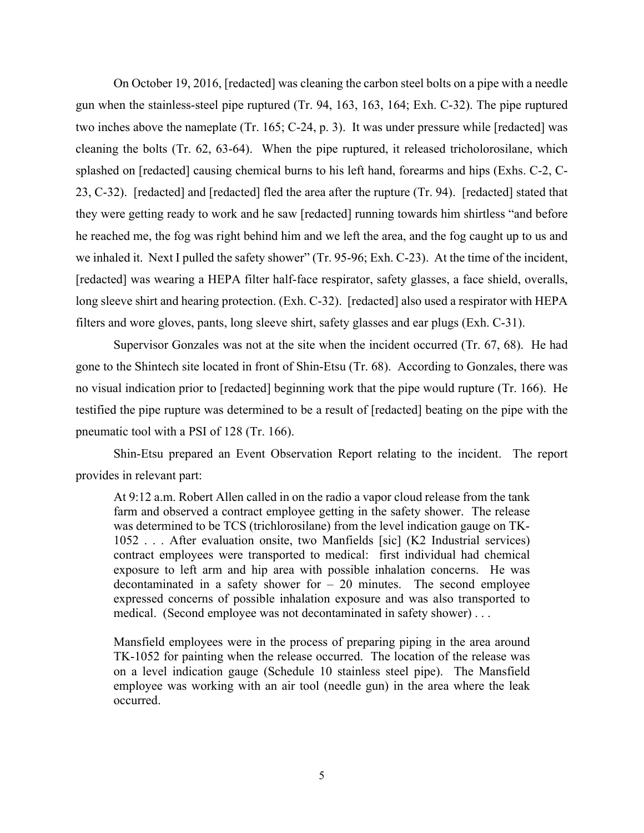On October 19, 2016, [redacted] was cleaning the carbon steel bolts on a pipe with a needle gun when the stainless-steel pipe ruptured (Tr. 94, 163, 163, 164; Exh. C-32). The pipe ruptured two inches above the nameplate (Tr. 165; C-24, p. 3). It was under pressure while [redacted] was cleaning the bolts (Tr. 62, 63-64). When the pipe ruptured, it released tricholorosilane, which splashed on [redacted] causing chemical burns to his left hand, forearms and hips (Exhs. C-2, C-23, C-32). [redacted] and [redacted] fled the area after the rupture (Tr. 94). [redacted] stated that they were getting ready to work and he saw [redacted] running towards him shirtless "and before he reached me, the fog was right behind him and we left the area, and the fog caught up to us and we inhaled it. Next I pulled the safety shower" (Tr. 95-96; Exh. C-23). At the time of the incident, [redacted] was wearing a HEPA filter half-face respirator, safety glasses, a face shield, overalls, long sleeve shirt and hearing protection. (Exh. C-32). [redacted] also used a respirator with HEPA filters and wore gloves, pants, long sleeve shirt, safety glasses and ear plugs (Exh. C-31).

Supervisor Gonzales was not at the site when the incident occurred (Tr. 67, 68). He had gone to the Shintech site located in front of Shin-Etsu (Tr. 68). According to Gonzales, there was no visual indication prior to [redacted] beginning work that the pipe would rupture (Tr. 166). He testified the pipe rupture was determined to be a result of [redacted] beating on the pipe with the pneumatic tool with a PSI of 128 (Tr. 166).

Shin-Etsu prepared an Event Observation Report relating to the incident. The report provides in relevant part:

At 9:12 a.m. Robert Allen called in on the radio a vapor cloud release from the tank farm and observed a contract employee getting in the safety shower. The release was determined to be TCS (trichlorosilane) from the level indication gauge on TK-1052 . . . After evaluation onsite, two Manfields [sic] (K2 Industrial services) contract employees were transported to medical: first individual had chemical exposure to left arm and hip area with possible inhalation concerns. He was decontaminated in a safety shower for  $-20$  minutes. The second employee expressed concerns of possible inhalation exposure and was also transported to medical. (Second employee was not decontaminated in safety shower) . . .

Mansfield employees were in the process of preparing piping in the area around TK-1052 for painting when the release occurred. The location of the release was on a level indication gauge (Schedule 10 stainless steel pipe). The Mansfield employee was working with an air tool (needle gun) in the area where the leak occurred.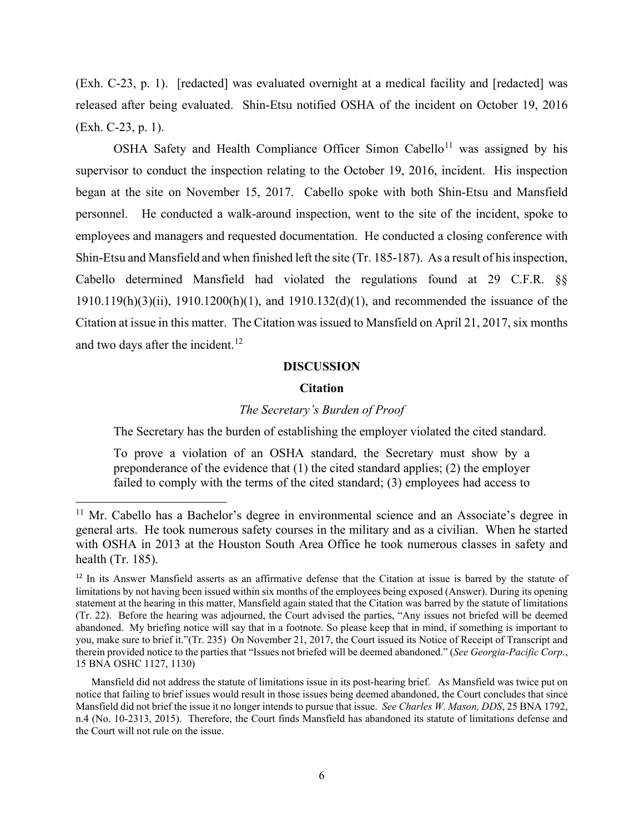(Exh. C-23, p. 1). [redacted] was evaluated overnight at a medical facility and [redacted] was released after being evaluated. Shin-Etsu notified OSHA of the incident on October 19, 2016 (Exh. C-23, p. 1).

OSHA Safety and Health Compliance Officer Simon Cabello<sup>[11](#page-13-0)</sup> was assigned by his supervisor to conduct the inspection relating to the October 19, 2016, incident. His inspection began at the site on November 15, 2017. Cabello spoke with both Shin-Etsu and Mansfield personnel. He conducted a walk-around inspection, went to the site of the incident, spoke to employees and managers and requested documentation. He conducted a closing conference with Shin-Etsu and Mansfield and when finished left the site (Tr. 185-187). As a result of his inspection, Cabello determined Mansfield had violated the regulations found at 29 C.F.R. §§ 1910.119(h)(3)(ii), 1910.1200(h)(1), and 1910.132(d)(1), and recommended the issuance of the Citation at issue in this matter. The Citation was issued to Mansfield on April 21, 2017, six months and two days after the incident.<sup>[12](#page-13-1)</sup>

# **DISCUSSION**

## **Citation**

#### *The Secretary's Burden of Proof*

The Secretary has the burden of establishing the employer violated the cited standard.

To prove a violation of an OSHA standard, the Secretary must show by a preponderance of the evidence that (1) the cited standard applies; (2) the employer failed to comply with the terms of the cited standard; (3) employees had access to

<span id="page-13-0"></span> $11$  Mr. Cabello has a Bachelor's degree in environmental science and an Associate's degree in general arts. He took numerous safety courses in the military and as a civilian. When he started with OSHA in 2013 at the Houston South Area Office he took numerous classes in safety and health (Tr. 185).

<span id="page-13-1"></span><sup>&</sup>lt;sup>12</sup> In its Answer Mansfield asserts as an affirmative defense that the Citation at issue is barred by the statute of limitations by not having been issued within six months of the employees being exposed (Answer). During its opening statement at the hearing in this matter, Mansfield again stated that the Citation was barred by the statute of limitations (Tr. 22). Before the hearing was adjourned, the Court advised the parties, "Any issues not briefed will be deemed abandoned. My briefing notice will say that in a footnote. So please keep that in mind, if something is important to you, make sure to brief it."(Tr. 235) On November 21, 2017, the Court issued its Notice of Receipt of Transcript and therein provided notice to the parties that "Issues not briefed will be deemed abandoned." (*See Georgia-Pacific Corp.*, 15 BNA OSHC 1127, 1130)

Mansfield did not address the statute of limitations issue in its post-hearing brief. As Mansfield was twice put on notice that failing to brief issues would result in those issues being deemed abandoned, the Court concludes that since Mansfield did not brief the issue it no longer intends to pursue that issue. *See Charles W. Mason, DDS*, 25 BNA 1792, n.4 (No. 10-2313, 2015). Therefore, the Court finds Mansfield has abandoned its statute of limitations defense and the Court will not rule on the issue.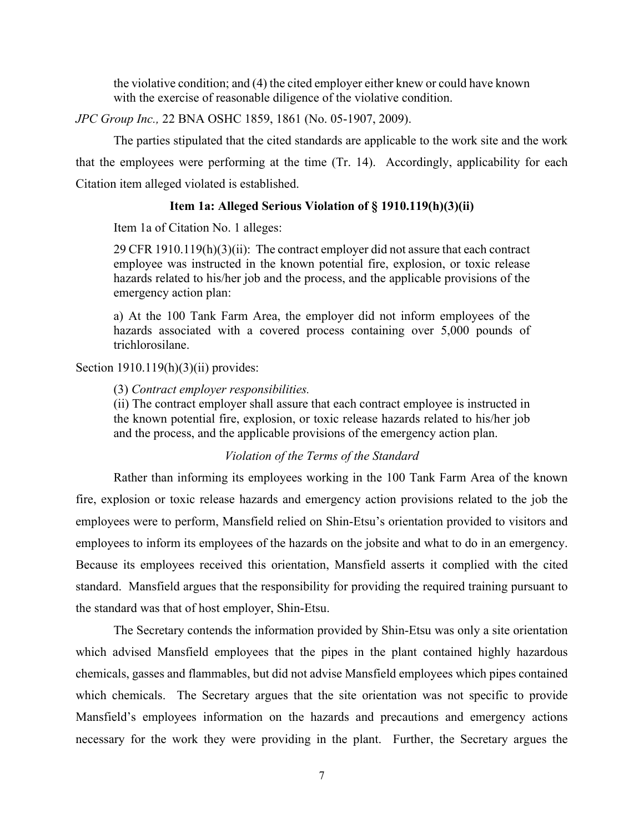the violative condition; and (4) the cited employer either knew or could have known with the exercise of reasonable diligence of the violative condition.

*JPC Group Inc.,* 22 BNA OSHC 1859, 1861 (No. 05-1907, 2009).

The parties stipulated that the cited standards are applicable to the work site and the work that the employees were performing at the time (Tr. 14). Accordingly, applicability for each Citation item alleged violated is established.

### **Item 1a: Alleged Serious Violation of § 1910.119(h)(3)(ii)**

Item 1a of Citation No. 1 alleges:

29 CFR 1910.119 $(h)(3)(ii)$ : The contract employer did not assure that each contract employee was instructed in the known potential fire, explosion, or toxic release hazards related to his/her job and the process, and the applicable provisions of the emergency action plan:

a) At the 100 Tank Farm Area, the employer did not inform employees of the hazards associated with a covered process containing over 5,000 pounds of trichlorosilane.

Section  $1910.119(h)(3)(ii)$  provides:

(3) *Contract employer responsibilities.*

(ii) The contract employer shall assure that each contract employee is instructed in the known potential fire, explosion, or toxic release hazards related to his/her job and the process, and the applicable provisions of the emergency action plan.

#### *Violation of the Terms of the Standard*

Rather than informing its employees working in the 100 Tank Farm Area of the known fire, explosion or toxic release hazards and emergency action provisions related to the job the employees were to perform, Mansfield relied on Shin-Etsu's orientation provided to visitors and employees to inform its employees of the hazards on the jobsite and what to do in an emergency. Because its employees received this orientation, Mansfield asserts it complied with the cited standard. Mansfield argues that the responsibility for providing the required training pursuant to the standard was that of host employer, Shin-Etsu.

The Secretary contends the information provided by Shin-Etsu was only a site orientation which advised Mansfield employees that the pipes in the plant contained highly hazardous chemicals, gasses and flammables, but did not advise Mansfield employees which pipes contained which chemicals. The Secretary argues that the site orientation was not specific to provide Mansfield's employees information on the hazards and precautions and emergency actions necessary for the work they were providing in the plant. Further, the Secretary argues the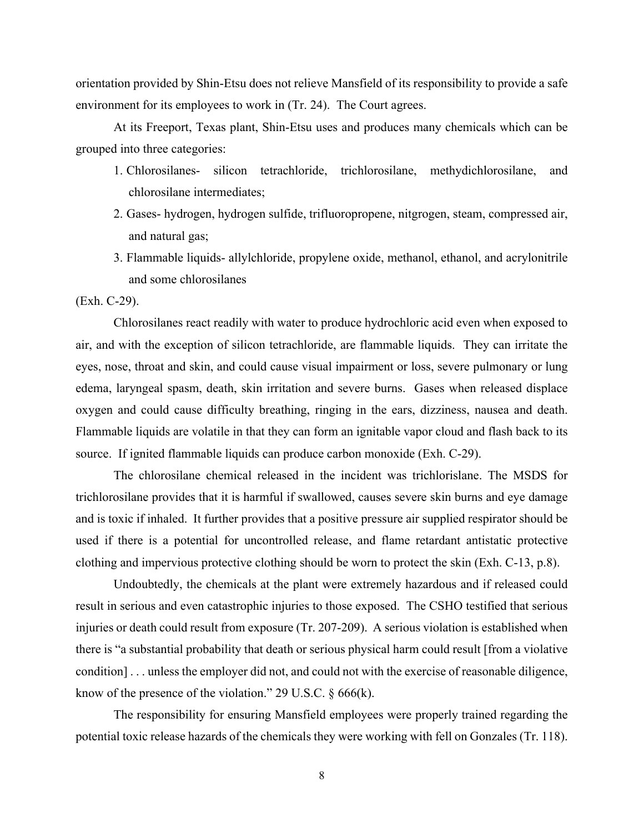orientation provided by Shin-Etsu does not relieve Mansfield of its responsibility to provide a safe environment for its employees to work in (Tr. 24). The Court agrees.

At its Freeport, Texas plant, Shin-Etsu uses and produces many chemicals which can be grouped into three categories:

- 1. Chlorosilanes- silicon tetrachloride, trichlorosilane, methydichlorosilane, and chlorosilane intermediates;
- 2. Gases- hydrogen, hydrogen sulfide, trifluoropropene, nitgrogen, steam, compressed air, and natural gas;
- 3. Flammable liquids- allylchloride, propylene oxide, methanol, ethanol, and acrylonitrile and some chlorosilanes

(Exh. C-29).

Chlorosilanes react readily with water to produce hydrochloric acid even when exposed to air, and with the exception of silicon tetrachloride, are flammable liquids. They can irritate the eyes, nose, throat and skin, and could cause visual impairment or loss, severe pulmonary or lung edema, laryngeal spasm, death, skin irritation and severe burns. Gases when released displace oxygen and could cause difficulty breathing, ringing in the ears, dizziness, nausea and death. Flammable liquids are volatile in that they can form an ignitable vapor cloud and flash back to its source. If ignited flammable liquids can produce carbon monoxide (Exh. C-29).

The chlorosilane chemical released in the incident was trichlorislane. The MSDS for trichlorosilane provides that it is harmful if swallowed, causes severe skin burns and eye damage and is toxic if inhaled. It further provides that a positive pressure air supplied respirator should be used if there is a potential for uncontrolled release, and flame retardant antistatic protective clothing and impervious protective clothing should be worn to protect the skin (Exh. C-13, p.8).

Undoubtedly, the chemicals at the plant were extremely hazardous and if released could result in serious and even catastrophic injuries to those exposed. The CSHO testified that serious injuries or death could result from exposure (Tr. 207-209). A serious violation is established when there is "a substantial probability that death or serious physical harm could result [from a violative condition] . . . unless the employer did not, and could not with the exercise of reasonable diligence, know of the presence of the violation." 29 U.S.C.  $\S 666(k)$ .

The responsibility for ensuring Mansfield employees were properly trained regarding the potential toxic release hazards of the chemicals they were working with fell on Gonzales (Tr. 118).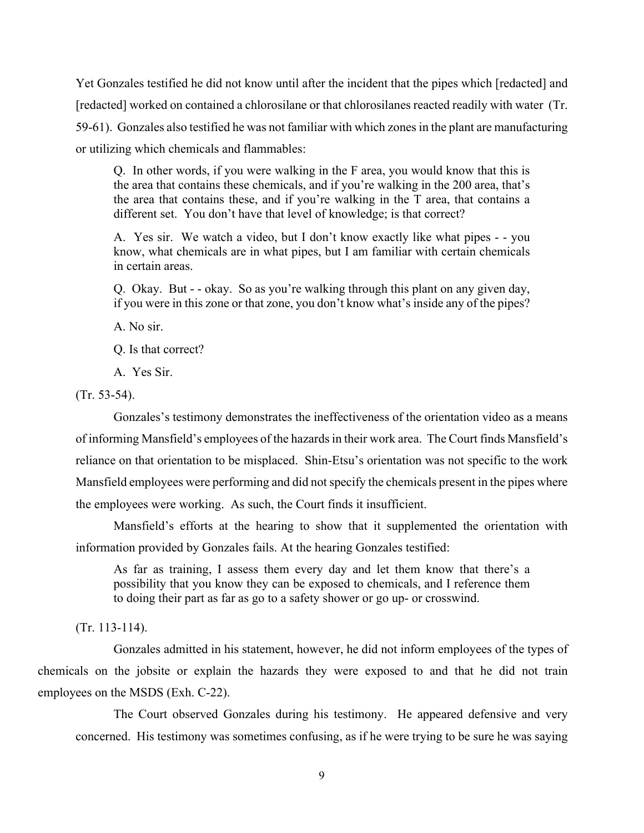Yet Gonzales testified he did not know until after the incident that the pipes which [redacted] and [redacted] worked on contained a chlorosilane or that chlorosilanes reacted readily with water (Tr. 59-61). Gonzales also testified he was not familiar with which zones in the plant are manufacturing or utilizing which chemicals and flammables:

Q. In other words, if you were walking in the F area, you would know that this is the area that contains these chemicals, and if you're walking in the 200 area, that's the area that contains these, and if you're walking in the T area, that contains a different set. You don't have that level of knowledge; is that correct?

A. Yes sir. We watch a video, but I don't know exactly like what pipes - - you know, what chemicals are in what pipes, but I am familiar with certain chemicals in certain areas.

Q. Okay. But - - okay. So as you're walking through this plant on any given day, if you were in this zone or that zone, you don't know what's inside any of the pipes?

A. No sir.

Q. Is that correct?

A. Yes Sir.

(Tr. 53-54).

Gonzales's testimony demonstrates the ineffectiveness of the orientation video as a means of informing Mansfield's employees of the hazards in their work area. The Court finds Mansfield's reliance on that orientation to be misplaced. Shin-Etsu's orientation was not specific to the work Mansfield employees were performing and did not specify the chemicals present in the pipes where the employees were working. As such, the Court finds it insufficient.

Mansfield's efforts at the hearing to show that it supplemented the orientation with information provided by Gonzales fails. At the hearing Gonzales testified:

As far as training, I assess them every day and let them know that there's a possibility that you know they can be exposed to chemicals, and I reference them to doing their part as far as go to a safety shower or go up- or crosswind.

(Tr. 113-114).

Gonzales admitted in his statement, however, he did not inform employees of the types of chemicals on the jobsite or explain the hazards they were exposed to and that he did not train employees on the MSDS (Exh. C-22).

The Court observed Gonzales during his testimony. He appeared defensive and very concerned. His testimony was sometimes confusing, as if he were trying to be sure he was saying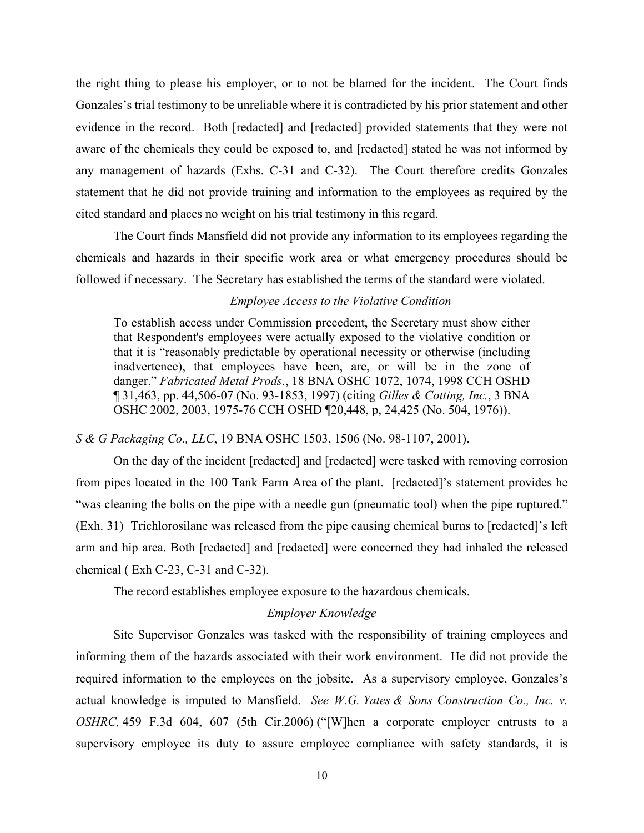the right thing to please his employer, or to not be blamed for the incident. The Court finds Gonzales's trial testimony to be unreliable where it is contradicted by his prior statement and other evidence in the record. Both [redacted] and [redacted] provided statements that they were not aware of the chemicals they could be exposed to, and [redacted] stated he was not informed by any management of hazards (Exhs. C-31 and C-32). The Court therefore credits Gonzales statement that he did not provide training and information to the employees as required by the cited standard and places no weight on his trial testimony in this regard.

The Court finds Mansfield did not provide any information to its employees regarding the chemicals and hazards in their specific work area or what emergency procedures should be followed if necessary. The Secretary has established the terms of the standard were violated.

# *Employee Access to the Violative Condition*

To establish access under Commission precedent, the Secretary must show either that Respondent's employees were actually exposed to the violative condition or that it is "reasonably predictable by operational necessity or otherwise (including inadvertence), that employees have been, are, or will be in the zone of danger." *Fabricated Metal Prods*[., 18 BNA OSHC 1072, 1074, 1998 CCH OSHD](https://1.next.westlaw.com/Link/Document/FullText?findType=Y&serNum=1997252799&pubNum=0003227&originatingDoc=I778a51a500f911e8bfb89a463a4b3bc7&refType=CA&fi=co_pp_sp_3227_1074&originationContext=document&transitionType=DocumentItem&contextData=(sc.Search)#co_pp_sp_3227_1074)  [¶ 31,463, pp. 44,506-07 \(No. 93-1853,](https://1.next.westlaw.com/Link/Document/FullText?findType=Y&serNum=1997252799&pubNum=0003227&originatingDoc=I778a51a500f911e8bfb89a463a4b3bc7&refType=CA&fi=co_pp_sp_3227_1074&originationContext=document&transitionType=DocumentItem&contextData=(sc.Search)#co_pp_sp_3227_1074) 1997) (citing *[Gilles & Cotting, Inc.](https://1.next.westlaw.com/Link/Document/FullText?findType=Y&serNum=1976160848&pubNum=0003227&originatingDoc=I778a51a500f911e8bfb89a463a4b3bc7&refType=CA&fi=co_pp_sp_3227_2003&originationContext=document&transitionType=DocumentItem&contextData=(sc.Search)#co_pp_sp_3227_2003)*, 3 BNA [OSHC 2002, 2003, 1975-76 CCH OSHD ¶20,448,](https://1.next.westlaw.com/Link/Document/FullText?findType=Y&serNum=1976160848&pubNum=0003227&originatingDoc=I778a51a500f911e8bfb89a463a4b3bc7&refType=CA&fi=co_pp_sp_3227_2003&originationContext=document&transitionType=DocumentItem&contextData=(sc.Search)#co_pp_sp_3227_2003) p, 24,425 (No. 504, 1976)).

#### *S & G Packaging Co., LLC*[, 19 BNA OSHC 1503, 1506 \(No. 98-1107,](https://1.next.westlaw.com/Link/Document/FullText?findType=Y&serNum=2001946899&pubNum=0003227&originatingDoc=I778a51a500f911e8bfb89a463a4b3bc7&refType=CA&fi=co_pp_sp_3227_1506&originationContext=document&transitionType=DocumentItem&contextData=(sc.Search)#co_pp_sp_3227_1506) 2001).

On the day of the incident [redacted] and [redacted] were tasked with removing corrosion from pipes located in the 100 Tank Farm Area of the plant. [redacted]'s statement provides he "was cleaning the bolts on the pipe with a needle gun (pneumatic tool) when the pipe ruptured." (Exh. 31) Trichlorosilane was released from the pipe causing chemical burns to [redacted]'s left arm and hip area. Both [redacted] and [redacted] were concerned they had inhaled the released chemical ( Exh C-23, C-31 and C-32).

The record establishes employee exposure to the hazardous chemicals.

# *Employer Knowledge*

Site Supervisor Gonzales was tasked with the responsibility of training employees and informing them of the hazards associated with their work environment. He did not provide the required information to the employees on the jobsite. As a supervisory employee, Gonzales's actual knowledge is imputed to Mansfield. *See W.G. Yates [& Sons Construction Co., Inc. v.](https://1.next.westlaw.com/Link/Document/FullText?findType=Y&serNum=2009673890&pubNum=0000506&originatingDoc=I526434a1c3c511e5b4bafa136b480ad2&refType=RP&fi=co_pp_sp_506_607&originationContext=document&transitionType=DocumentItem&contextData=(sc.Search)#co_pp_sp_506_607)  OSHRC,* [459 F.3d 604, 607 \(5th Cir.2006\)](https://1.next.westlaw.com/Link/Document/FullText?findType=Y&serNum=2009673890&pubNum=0000506&originatingDoc=I526434a1c3c511e5b4bafa136b480ad2&refType=RP&fi=co_pp_sp_506_607&originationContext=document&transitionType=DocumentItem&contextData=(sc.Search)#co_pp_sp_506_607) ("[W]hen a corporate employer entrusts to a supervisory employee its duty to assure employee compliance with safety standards, it is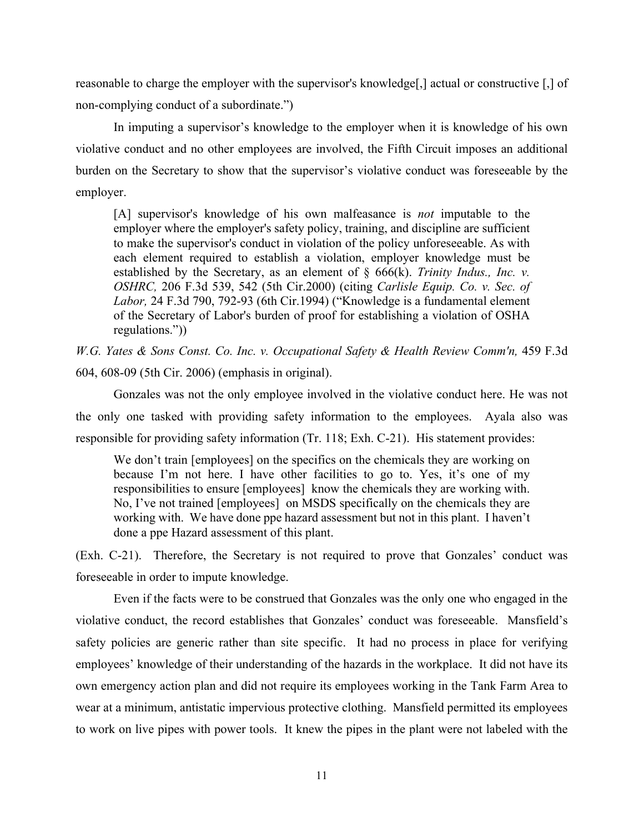reasonable to charge the employer with the supervisor's knowledge[,] actual or constructive [,] of non-complying conduct of a subordinate.")

In imputing a supervisor's knowledge to the employer when it is knowledge of his own violative conduct and no other employees are involved, the Fifth Circuit imposes an additional burden on the Secretary to show that the supervisor's violative conduct was foreseeable by the employer.

[A] supervisor's knowledge of his own malfeasance is *not* imputable to the employer where the employer's safety policy, training, and discipline are sufficient to make the supervisor's conduct in violation of the policy unforeseeable. As with each element required to establish a violation, employer knowledge must be established by the Secretary, as an element of § 666(k). *Trinity Indus., Inc. v. OSHRC,* 206 F.3d 539, 542 (5th Cir.2000) (citing *Carlisle Equip. Co. v. Sec. of Labor,* 24 F.3d 790, 792-93 (6th Cir.1994) ("Knowledge is a fundamental element of the Secretary of Labor's burden of proof for establishing a violation of OSHA regulations."))

*W.G. Yates & Sons Const. Co. Inc. v. Occupational Safety & Health Review Comm'n,* 459 F.3d 604, 608-09 (5th Cir. 2006) (emphasis in original).

Gonzales was not the only employee involved in the violative conduct here. He was not the only one tasked with providing safety information to the employees. Ayala also was responsible for providing safety information (Tr. 118; Exh. C-21). His statement provides:

We don't train [employees] on the specifics on the chemicals they are working on because I'm not here. I have other facilities to go to. Yes, it's one of my responsibilities to ensure [employees] know the chemicals they are working with. No, I've not trained [employees] on MSDS specifically on the chemicals they are working with. We have done ppe hazard assessment but not in this plant. I haven't done a ppe Hazard assessment of this plant.

(Exh. C-21). Therefore, the Secretary is not required to prove that Gonzales' conduct was foreseeable in order to impute knowledge.

Even if the facts were to be construed that Gonzales was the only one who engaged in the violative conduct, the record establishes that Gonzales' conduct was foreseeable. Mansfield's safety policies are generic rather than site specific. It had no process in place for verifying employees' knowledge of their understanding of the hazards in the workplace. It did not have its own emergency action plan and did not require its employees working in the Tank Farm Area to wear at a minimum, antistatic impervious protective clothing. Mansfield permitted its employees to work on live pipes with power tools. It knew the pipes in the plant were not labeled with the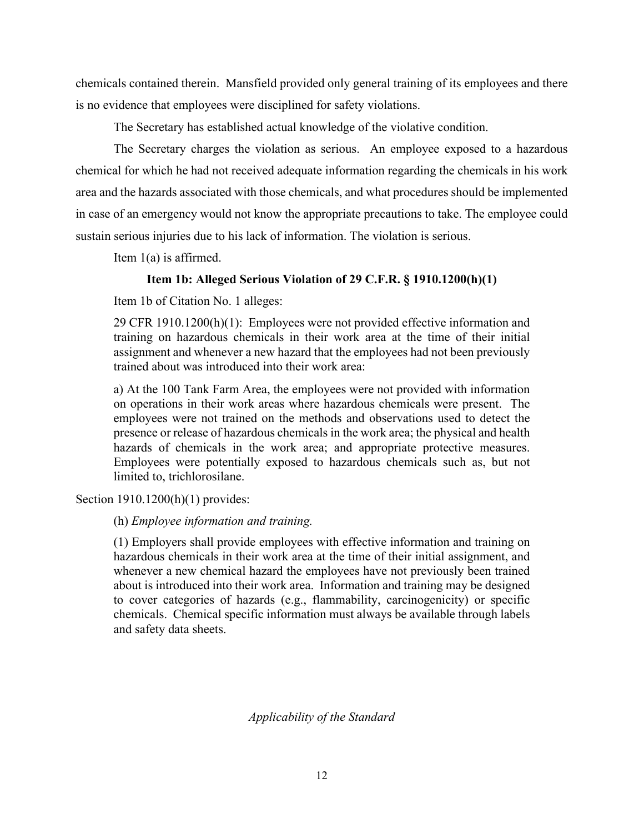chemicals contained therein. Mansfield provided only general training of its employees and there is no evidence that employees were disciplined for safety violations.

The Secretary has established actual knowledge of the violative condition.

The Secretary charges the violation as serious. An employee exposed to a hazardous chemical for which he had not received adequate information regarding the chemicals in his work area and the hazards associated with those chemicals, and what procedures should be implemented in case of an emergency would not know the appropriate precautions to take. The employee could sustain serious injuries due to his lack of information. The violation is serious.

Item 1(a) is affirmed.

# **Item 1b: Alleged Serious Violation of 29 C.F.R. § 1910.1200(h)(1)**

Item 1b of Citation No. 1 alleges:

29 CFR 1910.1200(h)(1): Employees were not provided effective information and training on hazardous chemicals in their work area at the time of their initial assignment and whenever a new hazard that the employees had not been previously trained about was introduced into their work area:

a) At the 100 Tank Farm Area, the employees were not provided with information on operations in their work areas where hazardous chemicals were present. The employees were not trained on the methods and observations used to detect the presence or release of hazardous chemicals in the work area; the physical and health hazards of chemicals in the work area; and appropriate protective measures. Employees were potentially exposed to hazardous chemicals such as, but not limited to, trichlorosilane.

Section 1910.1200(h)(1) provides:

(h) *Employee information and training.* 

(1) Employers shall provide employees with effective information and training on hazardous chemicals in their work area at the time of their initial assignment, and whenever a new chemical hazard the employees have not previously been trained about is introduced into their work area. Information and training may be designed to cover categories of hazards (e.g., flammability, carcinogenicity) or specific chemicals. Chemical specific information must always be available through labels and safety data sheets.

*Applicability of the Standard*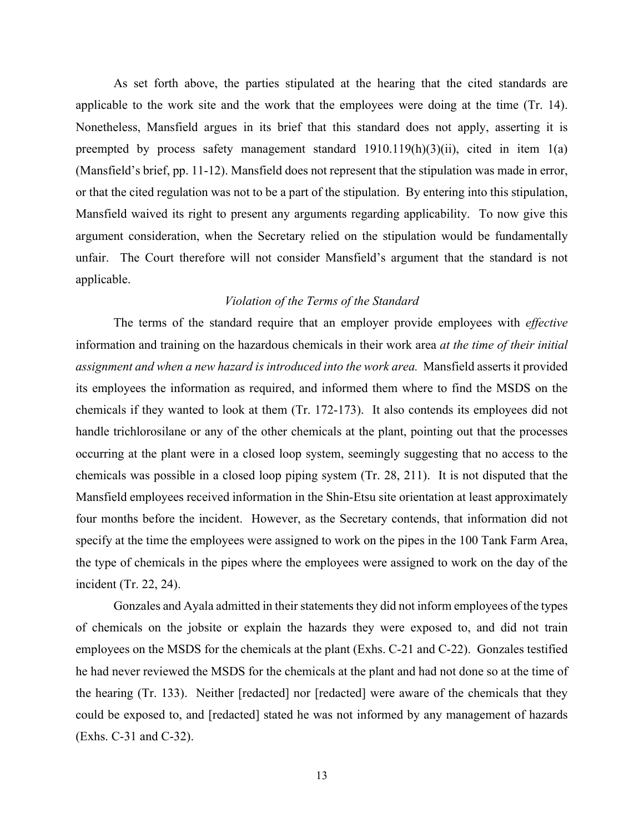As set forth above, the parties stipulated at the hearing that the cited standards are applicable to the work site and the work that the employees were doing at the time (Tr. 14). Nonetheless, Mansfield argues in its brief that this standard does not apply, asserting it is preempted by process safety management standard  $1910.119(h)(3)(ii)$ , cited in item  $1(a)$ (Mansfield's brief, pp. 11-12). Mansfield does not represent that the stipulation was made in error, or that the cited regulation was not to be a part of the stipulation. By entering into this stipulation, Mansfield waived its right to present any arguments regarding applicability. To now give this argument consideration, when the Secretary relied on the stipulation would be fundamentally unfair. The Court therefore will not consider Mansfield's argument that the standard is not applicable.

# *Violation of the Terms of the Standard*

The terms of the standard require that an employer provide employees with *effective* information and training on the hazardous chemicals in their work area *at the time of their initial assignment and when a new hazard is introduced into the work area.* Mansfield asserts it provided its employees the information as required, and informed them where to find the MSDS on the chemicals if they wanted to look at them (Tr. 172-173). It also contends its employees did not handle trichlorosilane or any of the other chemicals at the plant, pointing out that the processes occurring at the plant were in a closed loop system, seemingly suggesting that no access to the chemicals was possible in a closed loop piping system (Tr. 28, 211). It is not disputed that the Mansfield employees received information in the Shin-Etsu site orientation at least approximately four months before the incident. However, as the Secretary contends, that information did not specify at the time the employees were assigned to work on the pipes in the 100 Tank Farm Area, the type of chemicals in the pipes where the employees were assigned to work on the day of the incident (Tr. 22, 24).

Gonzales and Ayala admitted in their statements they did not inform employees of the types of chemicals on the jobsite or explain the hazards they were exposed to, and did not train employees on the MSDS for the chemicals at the plant (Exhs. C-21 and C-22). Gonzales testified he had never reviewed the MSDS for the chemicals at the plant and had not done so at the time of the hearing (Tr. 133). Neither [redacted] nor [redacted] were aware of the chemicals that they could be exposed to, and [redacted] stated he was not informed by any management of hazards (Exhs. C-31 and C-32).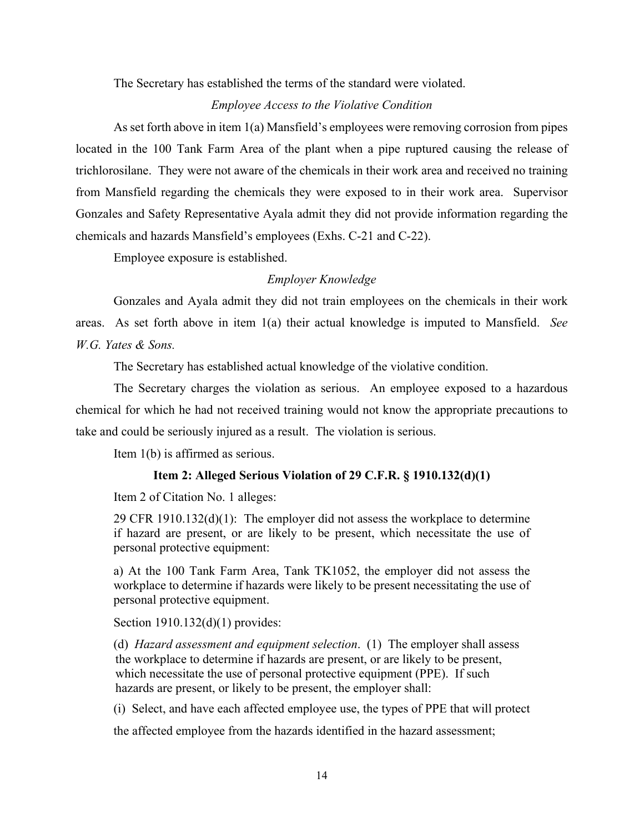The Secretary has established the terms of the standard were violated.

#### *Employee Access to the Violative Condition*

As set forth above in item 1(a) Mansfield's employees were removing corrosion from pipes located in the 100 Tank Farm Area of the plant when a pipe ruptured causing the release of trichlorosilane. They were not aware of the chemicals in their work area and received no training from Mansfield regarding the chemicals they were exposed to in their work area. Supervisor Gonzales and Safety Representative Ayala admit they did not provide information regarding the chemicals and hazards Mansfield's employees (Exhs. C-21 and C-22).

Employee exposure is established.

# *Employer Knowledge*

Gonzales and Ayala admit they did not train employees on the chemicals in their work areas. As set forth above in item 1(a) their actual knowledge is imputed to Mansfield. *See W.G. [Yates & Sons.](https://1.next.westlaw.com/Link/Document/FullText?findType=Y&serNum=2009673890&pubNum=0000506&originatingDoc=I526434a1c3c511e5b4bafa136b480ad2&refType=RP&fi=co_pp_sp_506_607&originationContext=document&transitionType=DocumentItem&contextData=(sc.Search)#co_pp_sp_506_607)* 

The Secretary has established actual knowledge of the violative condition.

The Secretary charges the violation as serious. An employee exposed to a hazardous chemical for which he had not received training would not know the appropriate precautions to take and could be seriously injured as a result. The violation is serious.

Item 1(b) is affirmed as serious.

### **Item 2: Alleged Serious Violation of 29 C.F.R. § 1910.132(d)(1)**

Item 2 of Citation No. 1 alleges:

29 CFR  $1910.132(d)(1)$ : The employer did not assess the workplace to determine if hazard are present, or are likely to be present, which necessitate the use of personal protective equipment:

a) At the 100 Tank Farm Area, Tank TK1052, the employer did not assess the workplace to determine if hazards were likely to be present necessitating the use of personal protective equipment.

Section 1910.132(d)(1) provides:

(d) *Hazard assessment and equipment selection*. (1) The employer shall assess the workplace to determine if hazards are present, or are likely to be present, which necessitate the use of personal protective equipment (PPE). If such hazards are present, or likely to be present, the employer shall:

(i) Select, and have each affected employee use, the types of PPE that will protect

the affected employee from the hazards identified in the hazard assessment;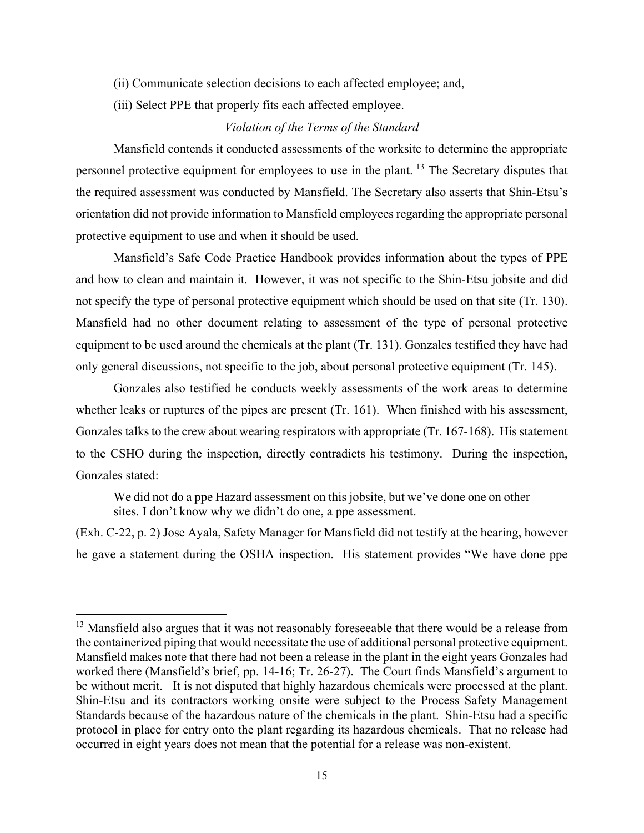- (ii) Communicate selection decisions to each affected employee; and,
- (iii) Select PPE that properly fits each affected employee.

# *Violation of the Terms of the Standard*

Mansfield contends it conducted assessments of the worksite to determine the appropriate personnel protective equipment for employees to use in the plant. <sup>[13](#page-22-0)</sup> The Secretary disputes that the required assessment was conducted by Mansfield. The Secretary also asserts that Shin-Etsu's orientation did not provide information to Mansfield employees regarding the appropriate personal protective equipment to use and when it should be used.

Mansfield's Safe Code Practice Handbook provides information about the types of PPE and how to clean and maintain it. However, it was not specific to the Shin-Etsu jobsite and did not specify the type of personal protective equipment which should be used on that site (Tr. 130). Mansfield had no other document relating to assessment of the type of personal protective equipment to be used around the chemicals at the plant (Tr. 131). Gonzales testified they have had only general discussions, not specific to the job, about personal protective equipment (Tr. 145).

Gonzales also testified he conducts weekly assessments of the work areas to determine whether leaks or ruptures of the pipes are present (Tr. 161). When finished with his assessment, Gonzales talks to the crew about wearing respirators with appropriate (Tr. 167-168). His statement to the CSHO during the inspection, directly contradicts his testimony. During the inspection, Gonzales stated:

We did not do a ppe Hazard assessment on this jobsite, but we've done one on other sites. I don't know why we didn't do one, a ppe assessment.

(Exh. C-22, p. 2) Jose Ayala, Safety Manager for Mansfield did not testify at the hearing, however he gave a statement during the OSHA inspection. His statement provides "We have done ppe

<span id="page-22-0"></span><sup>&</sup>lt;sup>13</sup> Mansfield also argues that it was not reasonably foreseeable that there would be a release from the containerized piping that would necessitate the use of additional personal protective equipment. Mansfield makes note that there had not been a release in the plant in the eight years Gonzales had worked there (Mansfield's brief, pp. 14-16; Tr. 26-27). The Court finds Mansfield's argument to be without merit. It is not disputed that highly hazardous chemicals were processed at the plant. Shin-Etsu and its contractors working onsite were subject to the Process Safety Management Standards because of the hazardous nature of the chemicals in the plant. Shin-Etsu had a specific protocol in place for entry onto the plant regarding its hazardous chemicals. That no release had occurred in eight years does not mean that the potential for a release was non-existent.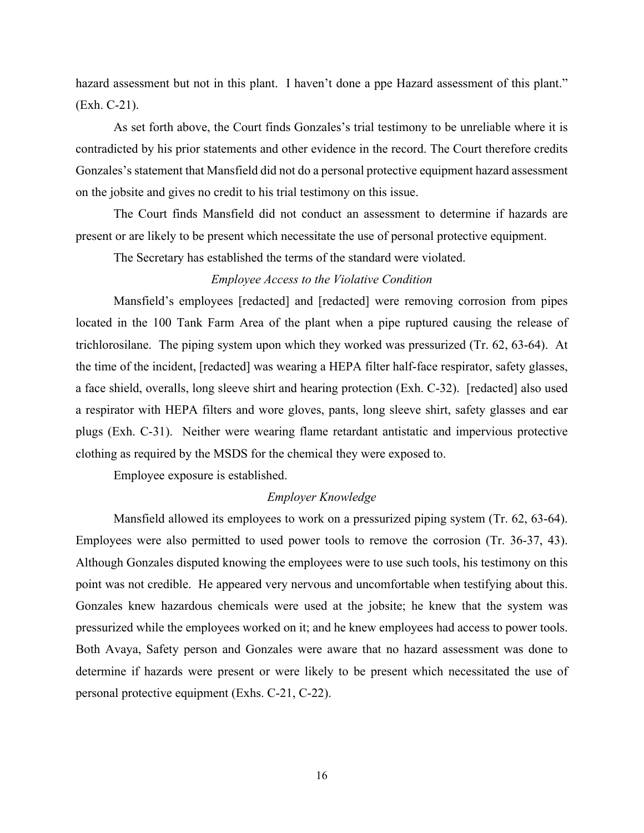hazard assessment but not in this plant. I haven't done a ppe Hazard assessment of this plant." (Exh. C-21).

As set forth above, the Court finds Gonzales's trial testimony to be unreliable where it is contradicted by his prior statements and other evidence in the record. The Court therefore credits Gonzales's statement that Mansfield did not do a personal protective equipment hazard assessment on the jobsite and gives no credit to his trial testimony on this issue.

The Court finds Mansfield did not conduct an assessment to determine if hazards are present or are likely to be present which necessitate the use of personal protective equipment.

The Secretary has established the terms of the standard were violated.

# *Employee Access to the Violative Condition*

Mansfield's employees [redacted] and [redacted] were removing corrosion from pipes located in the 100 Tank Farm Area of the plant when a pipe ruptured causing the release of trichlorosilane. The piping system upon which they worked was pressurized (Tr. 62, 63-64). At the time of the incident, [redacted] was wearing a HEPA filter half-face respirator, safety glasses, a face shield, overalls, long sleeve shirt and hearing protection (Exh. C-32). [redacted] also used a respirator with HEPA filters and wore gloves, pants, long sleeve shirt, safety glasses and ear plugs (Exh. C-31). Neither were wearing flame retardant antistatic and impervious protective clothing as required by the MSDS for the chemical they were exposed to.

Employee exposure is established.

# *Employer Knowledge*

Mansfield allowed its employees to work on a pressurized piping system (Tr. 62, 63-64). Employees were also permitted to used power tools to remove the corrosion (Tr. 36-37, 43). Although Gonzales disputed knowing the employees were to use such tools, his testimony on this point was not credible. He appeared very nervous and uncomfortable when testifying about this. Gonzales knew hazardous chemicals were used at the jobsite; he knew that the system was pressurized while the employees worked on it; and he knew employees had access to power tools. Both Avaya, Safety person and Gonzales were aware that no hazard assessment was done to determine if hazards were present or were likely to be present which necessitated the use of personal protective equipment (Exhs. C-21, C-22).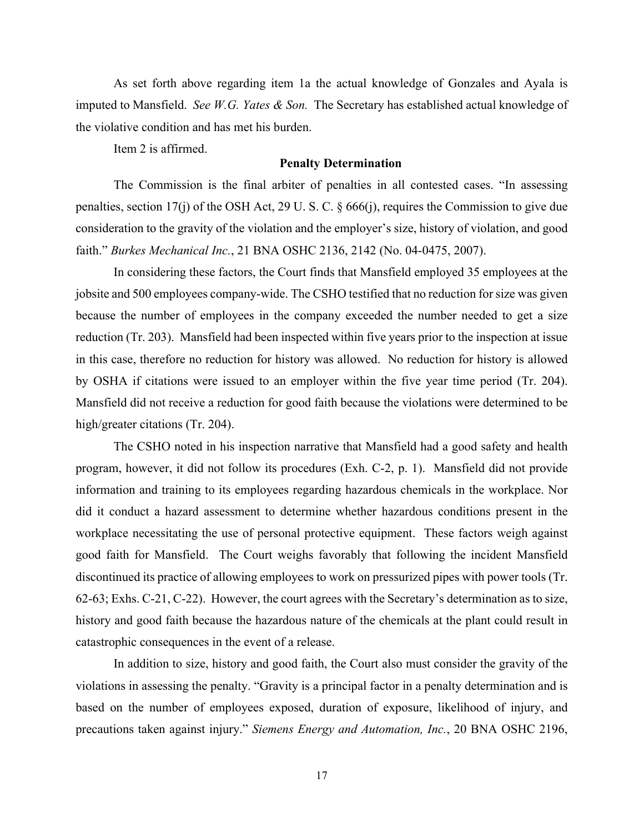As set forth above regarding item 1a the actual knowledge of Gonzales and Ayala is imputed to Mansfield. *See W.G. Yates [& Son.](https://1.next.westlaw.com/Link/Document/FullText?findType=Y&serNum=2009673890&pubNum=0000506&originatingDoc=I526434a1c3c511e5b4bafa136b480ad2&refType=RP&fi=co_pp_sp_506_607&originationContext=document&transitionType=DocumentItem&contextData=(sc.Search)#co_pp_sp_506_607)* The Secretary has established actual knowledge of the violative condition and has met his burden.

Item 2 is affirmed.

#### **Penalty Determination**

The Commission is the final arbiter of penalties in all contested cases. "In assessing penalties, section 17(j) of the OSH Act, [29 U. S. C. § 666\(j\),](http://www.westlaw.com/Link/Document/FullText?findType=L&pubNum=1000546&cite=29USCAS666&originatingDoc=Ida5a2ff0861e11e18b1ac573b20fcfb7&refType=RB&originationContext=document&vr=3.0&rs=cblt1.0&transitionType=DocumentItem&contextData=(sc.Search)#co_pp_267600008f864) requires the Commission to give due consideration to the gravity of the violation and the employer's size, history of violation, and good faith." *Burkes Mechanical Inc.*[, 21 BNA OSHC 2136, 2142 \(No. 04-0475, 2007\).](http://www.westlaw.com/Link/Document/FullText?findType=Y&serNum=2012727892&pubNum=0003227&originatingDoc=Ida5a2ff0861e11e18b1ac573b20fcfb7&refType=CA&fi=co_pp_sp_3227_2142&originationContext=document&vr=3.0&rs=cblt1.0&transitionType=DocumentItem&contextData=(sc.Search)#co_pp_sp_3227_2142)

 In considering these factors, the Court finds that Mansfield employed 35 employees at the jobsite and 500 employees company-wide. The CSHO testified that no reduction for size was given because the number of employees in the company exceeded the number needed to get a size reduction (Tr. 203). Mansfield had been inspected within five years prior to the inspection at issue in this case, therefore no reduction for history was allowed. No reduction for history is allowed by OSHA if citations were issued to an employer within the five year time period (Tr. 204). Mansfield did not receive a reduction for good faith because the violations were determined to be high/greater citations (Tr. 204).

The CSHO noted in his inspection narrative that Mansfield had a good safety and health program, however, it did not follow its procedures (Exh. C-2, p. 1). Mansfield did not provide information and training to its employees regarding hazardous chemicals in the workplace. Nor did it conduct a hazard assessment to determine whether hazardous conditions present in the workplace necessitating the use of personal protective equipment. These factors weigh against good faith for Mansfield. The Court weighs favorably that following the incident Mansfield discontinued its practice of allowing employees to work on pressurized pipes with power tools (Tr. 62-63; Exhs. C-21, C-22). However, the court agrees with the Secretary's determination as to size, history and good faith because the hazardous nature of the chemicals at the plant could result in catastrophic consequences in the event of a release.

 In addition to size, history and good faith, the Court also must consider the gravity of the violations in assessing the penalty. "Gravity is a principal factor in a penalty determination and is based on the number of employees exposed, duration of exposure, likelihood of injury, and precautions taken against injury." *[Siemens Energy and Automation, Inc.](http://www.westlaw.com/Link/Document/FullText?findType=Y&serNum=2006391001&pubNum=0003227&originatingDoc=Ida5a2ff0861e11e18b1ac573b20fcfb7&refType=CA&fi=co_pp_sp_3227_2201&originationContext=document&vr=3.0&rs=cblt1.0&transitionType=DocumentItem&contextData=(sc.Search)#co_pp_sp_3227_2201)*, 20 BNA OSHC 2196,